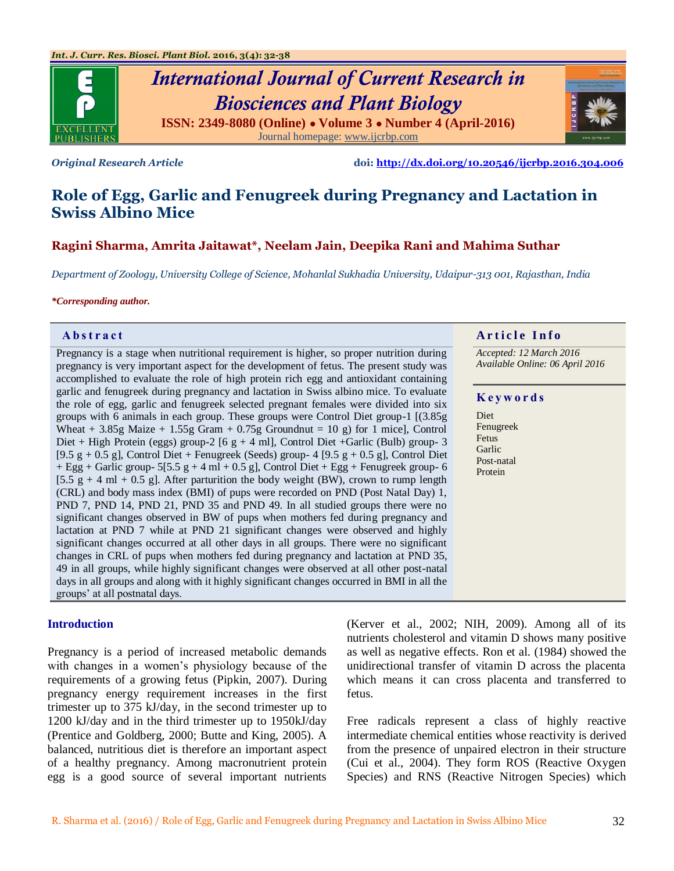

# *International Journal of Current Research in Biosciences and Plant Biology* **ISSN: 2349-8080 (Online) ● Volume 3 ● Number 4 (April-2016)**



*Original Research Article* **doi:<http://dx.doi.org/10.20546/ijcrbp.2016.304.006>**

## **Role of Egg, Garlic and Fenugreek during Pregnancy and Lactation in Swiss Albino Mice**

#### **Ragini Sharma, Amrita Jaitawat\*, Neelam Jain, Deepika Rani and Mahima Suthar**

*Department of Zoology, University College of Science, Mohanlal Sukhadia University, Udaipur-313 001, Rajasthan, India*

#### *\*Corresponding author.*

Pregnancy is a stage when nutritional requirement is higher, so proper nutrition during pregnancy is very important aspect for the development of fetus. The present study was accomplished to evaluate the role of high protein rich egg and antioxidant containing garlic and fenugreek during pregnancy and lactation in Swiss albino mice. To evaluate the role of egg, garlic and fenugreek selected pregnant females were divided into six groups with 6 animals in each group. These groups were Control Diet group-1 [(3.85g Wheat  $+ 3.85g$  Maize  $+ 1.55g$  Gram  $+ 0.75g$  Groundnut = 10 g) for 1 mice], Control Diet + High Protein (eggs) group-2 [6 g + 4 ml], Control Diet + Garlic (Bulb) group-3 [9.5 g + 0.5 g], Control Diet + Fenugreek (Seeds) group- 4 [9.5 g + 0.5 g], Control Diet  $+$  Egg + Garlic group- 5[5.5 g + 4 ml + 0.5 g], Control Diet + Egg + Fenugreek group- 6  $[5.5 \text{ g} + 4 \text{ ml} + 0.5 \text{ g}]$ . After parturition the body weight (BW), crown to rump length (CRL) and body mass index (BMI) of pups were recorded on PND (Post Natal Day) 1, PND 7, PND 14, PND 21, PND 35 and PND 49. In all studied groups there were no significant changes observed in BW of pups when mothers fed during pregnancy and lactation at PND 7 while at PND 21 significant changes were observed and highly significant changes occurred at all other days in all groups. There were no significant changes in CRL of pups when mothers fed during pregnancy and lactation at PND 35, 49 in all groups, while highly significant changes were observed at all other post-natal days in all groups and along with it highly significant changes occurred in BMI in all the groups' at all postnatal days.

#### **Introduction**

Pregnancy is a period of increased metabolic demands with changes in a women's physiology because of the requirements of a growing fetus (Pipkin, 2007). During pregnancy energy requirement increases in the first trimester up to 375 kJ/day, in the second trimester up to 1200 kJ/day and in the third trimester up to 1950kJ/day (Prentice and Goldberg, 2000; Butte and King, 2005). A balanced, nutritious diet is therefore an important aspect of a healthy pregnancy. Among macronutrient protein egg is a good source of several important nutrients

#### **Abstract And a region of the Info**  $\alpha$  **Article Info**

*Accepted: 12 March 2016 Available Online: 06 April 2016*

#### **K e y w o r d s**

Diet Fenugreek Fetus Garlic Post-natal Protein

(Kerver et al., 2002; NIH, 2009). Among all of its nutrients cholesterol and vitamin D shows many positive as well as negative effects. Ron et al. (1984) showed the unidirectional transfer of vitamin D across the placenta which means it can cross placenta and transferred to fetus.

Free radicals represent a class of highly reactive intermediate chemical entities whose reactivity is derived from the presence of unpaired electron in their structure (Cui et al., 2004). They form ROS (Reactive Oxygen Species) and RNS (Reactive Nitrogen Species) which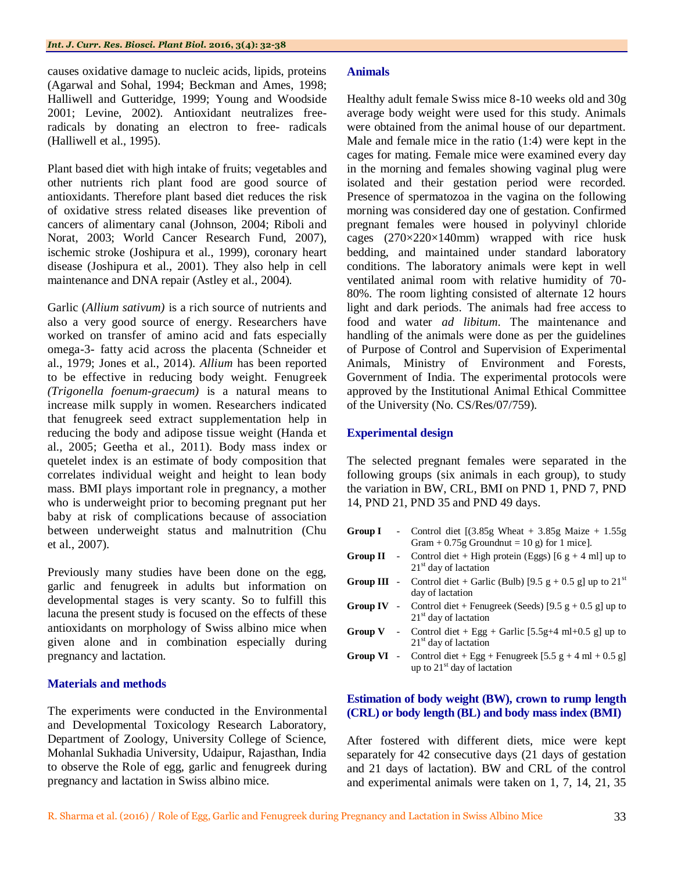causes oxidative damage to nucleic acids, lipids, proteins (Agarwal and Sohal, 1994; Beckman and Ames, 1998; Halliwell and Gutteridge, 1999; Young and Woodside 2001; Levine, 2002). Antioxidant neutralizes freeradicals by donating an electron to free- radicals (Halliwell et al., 1995).

Plant based diet with high intake of fruits; vegetables and other nutrients rich plant food are good source of antioxidants. Therefore plant based diet reduces the risk of oxidative stress related diseases like prevention of cancers of alimentary canal (Johnson, 2004; Riboli and Norat, 2003; World Cancer Research Fund, 2007), ischemic stroke (Joshipura et al., 1999), coronary heart disease (Joshipura et al., 2001). They also help in cell maintenance and DNA repair (Astley et al., 2004).

Garlic (*Allium sativum)* is a rich source of nutrients and also a very good source of energy. Researchers have worked on transfer of amino acid and fats especially omega-3- fatty acid across the placenta (Schneider et al., 1979; Jones et al., 2014). *Allium* has been reported to be effective in reducing body weight. Fenugreek *(Trigonella foenum-graecum)* is a natural means to increase milk supply in women. Researchers indicated that fenugreek seed extract supplementation help in reducing the body and adipose tissue weight (Handa et al., 2005; Geetha et al., 2011). Body mass index or quetelet index is an estimate of body composition that correlates individual weight and height to lean body mass. BMI plays important role in pregnancy, a mother who is underweight prior to becoming pregnant put her baby at risk of complications because of association between underweight status and malnutrition (Chu et al., 2007).

Previously many studies have been done on the egg, garlic and fenugreek in adults but information on developmental stages is very scanty. So to fulfill this lacuna the present study is focused on the effects of these antioxidants on morphology of Swiss albino mice when given alone and in combination especially during pregnancy and lactation.

#### **Materials and methods**

The experiments were conducted in the Environmental and Developmental Toxicology Research Laboratory, Department of Zoology, University College of Science, Mohanlal Sukhadia University, Udaipur, Rajasthan, India to observe the Role of egg, garlic and fenugreek during pregnancy and lactation in Swiss albino mice.

#### **Animals**

Healthy adult female Swiss mice 8-10 weeks old and 30g average body weight were used for this study. Animals were obtained from the animal house of our department. Male and female mice in the ratio (1:4) were kept in the cages for mating. Female mice were examined every day in the morning and females showing vaginal plug were isolated and their gestation period were recorded. Presence of spermatozoa in the vagina on the following morning was considered day one of gestation. Confirmed pregnant females were housed in polyvinyl chloride cages (270×220×140mm) wrapped with rice husk bedding, and maintained under standard laboratory conditions. The laboratory animals were kept in well ventilated animal room with relative humidity of 70- 80%. The room lighting consisted of alternate 12 hours light and dark periods. The animals had free access to food and water *ad libitum*. The maintenance and handling of the animals were done as per the guidelines of Purpose of Control and Supervision of Experimental Animals, Ministry of Environment and Forests, Government of India. The experimental protocols were approved by the Institutional Animal Ethical Committee of the University (No. CS/Res/07/759).

#### **Experimental design**

The selected pregnant females were separated in the following groups (six animals in each group), to study the variation in BW, CRL, BMI on PND 1, PND 7, PND 14, PND 21, PND 35 and PND 49 days.

**Group I** - Control diet  $[(3.85g \text{ Wheat} + 3.85g \text{ Maize} + 1.55g$ Gram  $+ 0.75$ g Groundnut = 10 g) for 1 mice]. **Group II** - Control diet + High protein (Eggs)  $[6 \text{ g} + 4 \text{ ml}]$  up to 21<sup>st</sup> day of lactation **Group III** - Control diet + Garlic (Bulb) [9.5 g + 0.5 g] up to  $21<sup>st</sup>$ day of lactation **Group IV** - Control diet + Fenugreek (Seeds) [9.5  $g + 0.5 g$ ] up to 21<sup>st</sup> day of lactation **Group V** - Control diet + Egg + Garlic  $[5.5g+4 \text{ ml}+0.5 \text{ g}]$  up to 21<sup>st</sup> day of lactation **Group VI** - Control diet + Egg + Fenugreek  $[5.5 \text{ g} + 4 \text{ ml} + 0.5 \text{ g}]$ up to  $21<sup>st</sup>$  day of lactation

#### **Estimation of body weight (BW), crown to rump length (CRL) or body length (BL) and body mass index (BMI)**

After fostered with different diets, mice were kept separately for 42 consecutive days (21 days of gestation and 21 days of lactation). BW and CRL of the control and experimental animals were taken on 1, 7, 14, 21, 35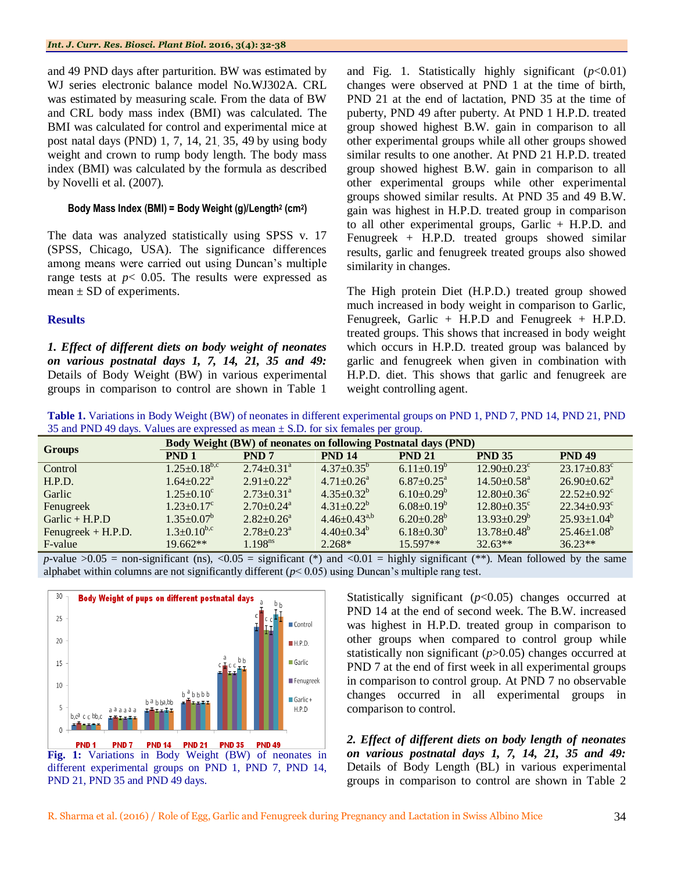and 49 PND days after parturition. BW was estimated by WJ series electronic balance model No.WJ302A. CRL was estimated by measuring scale. From the data of BW and CRL body mass index (BMI) was calculated. The BMI was calculated for control and experimental mice at post natal days (PND) 1, 7, 14, 21, 35, 49 by using body weight and crown to rump body length. The body mass index (BMI) was calculated by the formula as described by Novelli et al. (2007).

#### **Body Mass Index (BMI) = Body Weight (g)/Length<sup>2</sup> (cm<sup>2</sup> )**

The data was analyzed statistically using SPSS v. 17 (SPSS, Chicago, USA). The significance differences among means were carried out using Duncan's multiple range tests at  $p$ < 0.05. The results were expressed as mean  $\pm$  SD of experiments.

#### **Results**

*1. Effect of different diets on body weight of neonates on various postnatal days 1, 7, 14, 21, 35 and 49:* Details of Body Weight (BW) in various experimental groups in comparison to control are shown in Table 1 and Fig. 1. Statistically highly significant  $(p<0.01)$ changes were observed at PND 1 at the time of birth, PND 21 at the end of lactation, PND 35 at the time of puberty, PND 49 after puberty. At PND 1 H.P.D. treated group showed highest B.W. gain in comparison to all other experimental groups while all other groups showed similar results to one another. At PND 21 H.P.D. treated group showed highest B.W. gain in comparison to all other experimental groups while other experimental groups showed similar results. At PND 35 and 49 B.W. gain was highest in H.P.D. treated group in comparison to all other experimental groups, Garlic + H.P.D. and Fenugreek + H.P.D. treated groups showed similar results, garlic and fenugreek treated groups also showed similarity in changes.

The High protein Diet (H.P.D.) treated group showed much increased in body weight in comparison to Garlic, Fenugreek, Garlic + H.P.D and Fenugreek + H.P.D. treated groups. This shows that increased in body weight which occurs in H.P.D. treated group was balanced by garlic and fenugreek when given in combination with H.P.D. diet. This shows that garlic and fenugreek are weight controlling agent.

**Table 1.** Variations in Body Weight (BW) of neonates in different experimental groups on PND 1, PND 7, PND 14, PND 21, PND 35 and PND 49 days. Values are expressed as mean  $\pm$  S.D. for six females per group.

| <b>Groups</b>      | <b>Body Weight (BW) of neonates on following Postnatal days (PND)</b> |                              |                              |                              |                               |                               |  |
|--------------------|-----------------------------------------------------------------------|------------------------------|------------------------------|------------------------------|-------------------------------|-------------------------------|--|
|                    | PND <sub>1</sub>                                                      | PND <sub>7</sub>             | <b>PND 14</b>                | <b>PND 21</b>                | <b>PND 35</b>                 | <b>PND 49</b>                 |  |
| Control            | $1.25 \pm 0.18^{b,c}$                                                 | $2.74 \pm 0.31$ <sup>a</sup> | $4.37 \pm 0.35^b$            | $6.11 \pm 0.19^b$            | $12.90 \pm 0.23$ <sup>c</sup> | $23.17 + 0.83^c$              |  |
| H.P.D.             | $1.64 \pm 0.22$ <sup>a</sup>                                          | $2.91 \pm 0.22^a$            | $4.71 \pm 0.26$ <sup>a</sup> | $6.87 \pm 0.25$ <sup>a</sup> | $14.50 + 0.58$ <sup>a</sup>   | $26.90 \pm 0.62^{\text{a}}$   |  |
| Garlic             | $1.25 \pm 0.10^{\circ}$                                               | $2.73 \pm 0.31$ <sup>a</sup> | $4.35+0.32^b$                | $6.10\pm0.29^b$              | $12.80 \pm 0.36$ <sup>c</sup> | $22.52+0.92^{\circ}$          |  |
| Fenugreek          | $1.23 + 0.17^c$                                                       | $2.70+0.24^a$                | $4.31 + 0.22^b$              | $6.08\pm0.19^{b}$            | $12.80 + 0.35^{\circ}$        | $22.34 \pm 0.93$ <sup>c</sup> |  |
| $Garlic + H.P.D$   | $1.35 \pm 0.07^b$                                                     | $2.82 + 0.26^a$              | $4.46 \pm 0.43^{a,b}$        | $6.20+0.28^b$                | $13.93 + 0.29^b$              | $25.93+1.04^b$                |  |
| Fenugreek + H.P.D. | $1.3 \pm 0.10^{b,c}$                                                  | $2.78 + 0.23^a$              | $4.40+0.34^b$                | $6.18 \pm 0.30^b$            | $13.78 \pm 0.48^b$            | $25.46 \pm 1.08^b$            |  |
| F-value            | $19.662**$                                                            | 1.198 <sup>ns</sup>          | $2.268*$                     | 15.597**                     | $32.63**$                     | $36.23**$                     |  |

*p*-value  $>0.05$  = non-significant (ns),  $< 0.05$  = significant (\*) and  $< 0.01$  = highly significant (\*\*). Mean followed by the same alphabet within columns are not significantly different  $(p< 0.05)$  using Duncan's multiple rang test.



**Fig. 1:** Variations in Body Weight (BW) of neonates in different experimental groups on PND 1, PND 7, PND 14, PND 21, PND 35 and PND 49 days.

Statistically significant ( $p$ <0.05) changes occurred at PND 14 at the end of second week. The B.W. increased was highest in H.P.D. treated group in comparison to other groups when compared to control group while statistically non significant (*p*>0.05) changes occurred at PND 7 at the end of first week in all experimental groups in comparison to control group. At PND 7 no observable changes occurred in all experimental groups in comparison to control.

*2. Effect of different diets on body length of neonates on various postnatal days 1, 7, 14, 21, 35 and 49:* Details of Body Length (BL) in various experimental groups in comparison to control are shown in Table 2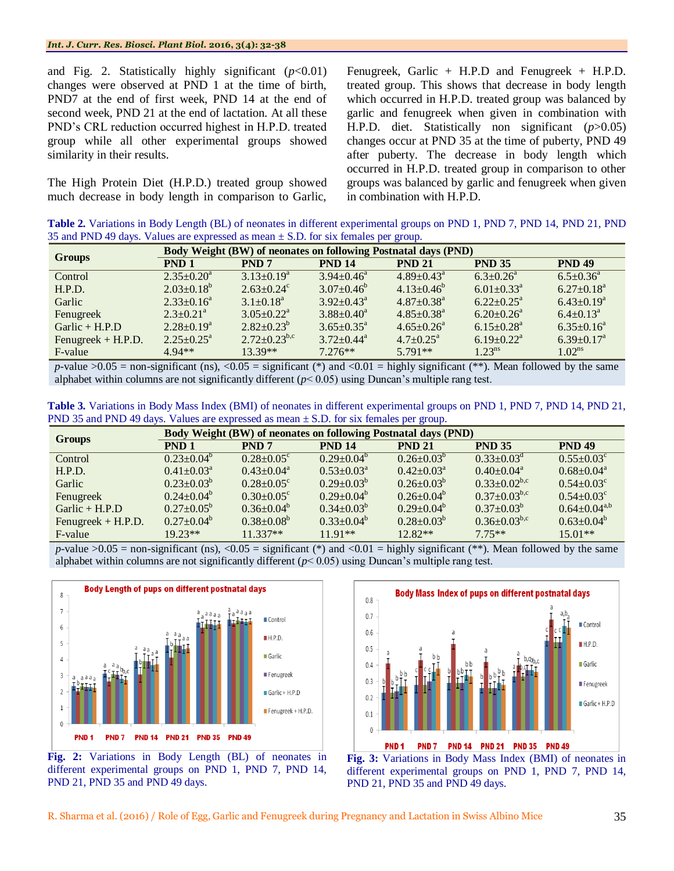and Fig. 2. Statistically highly significant  $(p<0.01)$ changes were observed at PND 1 at the time of birth, PND7 at the end of first week, PND 14 at the end of second week, PND 21 at the end of lactation. At all these PND's CRL reduction occurred highest in H.P.D. treated group while all other experimental groups showed similarity in their results.

The High Protein Diet (H.P.D.) treated group showed much decrease in body length in comparison to Garlic, Fenugreek, Garlic + H.P.D and Fenugreek + H.P.D. treated group. This shows that decrease in body length which occurred in H.P.D. treated group was balanced by garlic and fenugreek when given in combination with H.P.D. diet. Statistically non significant (*p*>0.05) changes occur at PND 35 at the time of puberty, PND 49 after puberty. The decrease in body length which occurred in H.P.D. treated group in comparison to other groups was balanced by garlic and fenugreek when given in combination with H.P.D.

**Table 2.** Variations in Body Length (BL) of neonates in different experimental groups on PND 1, PND 7, PND 14, PND 21, PND 35 and PND 49 days. Values are expressed as mean  $\pm$  S.D. for six females per group.

| <b>Groups</b>      | <b>Body Weight (BW) of neonates on following Postnatal days (PND)</b> |                              |                         |                              |                              |                             |  |
|--------------------|-----------------------------------------------------------------------|------------------------------|-------------------------|------------------------------|------------------------------|-----------------------------|--|
|                    | PND <sub>1</sub>                                                      | PND <sub>7</sub>             | <b>PND 14</b>           | <b>PND 21</b>                | <b>PND 35</b>                | <b>PND 49</b>               |  |
| Control            | $2.35 \pm 0.20^a$                                                     | $3.13 \pm 0.19^a$            | $3.94 + 0.46^a$         | $4.89 \pm 0.43$ <sup>a</sup> | $6.3 \pm 0.26$ <sup>a</sup>  | $6.5 \pm 0.36^a$            |  |
| H.P.D.             | $2.03 \pm 0.18^b$                                                     | $2.63 \pm 0.24$ <sup>c</sup> | $3.07 \pm 0.46^b$       | $4.13 \pm 0.46^{\circ}$      | $6.01 \pm 0.33$ <sup>a</sup> | $6.27 \pm 0.18^a$           |  |
| Garlic             | $2.33 \pm 0.16^a$                                                     | $3.1 + 0.18^a$               | $3.92 + 0.43^a$         | $4.87 \pm 0.38$ <sup>a</sup> | $6.22+0.25^a$                | $6.43 \pm 0.19^a$           |  |
| Fenugreek          | $2.3 \pm 0.21$ <sup>a</sup>                                           | $3.05 \pm 0.22^{\text{a}}$   | $3.88 \pm 0.40^a$       | $4.85 \pm 0.38$ <sup>a</sup> | $6.20+0.26^a$                | $6.4 \pm 0.13$ <sup>a</sup> |  |
| Garlic + $H.P.D$   | $2.28+0.19^a$                                                         | $2.82+0.23^{b}$              | $3.65 \pm 0.35^{\circ}$ | $4.65 \pm 0.26$ <sup>a</sup> | $6.15 \pm 0.28$ <sup>a</sup> | $6.35+0.16^a$               |  |
| Fenugreek + H.P.D. | $2.25 \pm 0.25^{\mathrm{a}}$                                          | $2.72 \pm 0.23^{b,c}$        | $3.72 + 0.44^a$         | $4.7+0.25^{\text{a}}$        | $6.19 \pm 0.22$ <sup>a</sup> | $6.39+0.17^a$               |  |
| F-value            | $4.94**$                                                              | 13.39**                      | $7.276**$               | $5.791**$                    | 1.23 <sup>ns</sup>           | 1.02 <sup>ns</sup>          |  |

*p*-value  $>0.05$  = non-significant (ns),  $<0.05$  = significant (\*) and  $<0.01$  = highly significant (\*\*). Mean followed by the same alphabet within columns are not significantly different (*p*< 0.05) using Duncan's multiple rang test.

**Table 3.** Variations in Body Mass Index (BMI) of neonates in different experimental groups on PND 1, PND 7, PND 14, PND 21, PND 35 and PND 49 days. Values are expressed as mean  $\pm$  S.D. for six females per group.

| <b>Groups</b>        | <b>Body Weight (BW) of neonates on following Postnatal days (PND)</b> |                              |                         |                     |                       |                              |  |
|----------------------|-----------------------------------------------------------------------|------------------------------|-------------------------|---------------------|-----------------------|------------------------------|--|
|                      | PND <sub>1</sub>                                                      | PND <sub>7</sub>             | <b>PND 14</b>           | <b>PND 21</b>       | <b>PND 35</b>         | <b>PND 49</b>                |  |
| Control              | $0.23+0.04^b$                                                         | $0.28 \pm 0.05$ <sup>c</sup> | $0.29 + 0.04^b$         | $0.26 + 0.03^{b}$   | $0.33+0.03^d$         | $0.55 \pm 0.03^{\circ}$      |  |
| H.P.D.               | $0.41 \pm 0.03^{\text{a}}$                                            | $0.43 + 0.04^a$              | $0.53 \pm 0.03^{\circ}$ | $0.42 + 0.03^a$     | $0.40+0.04^a$         | $0.68 \pm 0.04^{\circ}$      |  |
| Garlic               | $0.23 \pm 0.03^b$                                                     | $0.28 \pm 0.05$ <sup>c</sup> | $0.29 \pm 0.03^{\circ}$ | $0.26 \pm 0.03^{b}$ | $0.33+0.02^{b,c}$     | $0.54 \pm 0.03$ <sup>c</sup> |  |
| Fenugreek            | $0.24 + 0.04^b$                                                       | $0.30+0.05^{\circ}$          | $0.29 \pm 0.04^b$       | $0.26 + 0.04^b$     | $0.37 \pm 0.03^{b,c}$ | $0.54 + 0.03^c$              |  |
| $Garlic + H.P.D$     | $0.27+0.05^b$                                                         | $0.36 \pm 0.04^b$            | $0.34 \pm 0.03^{\circ}$ | $0.29 + 0.04^b$     | $0.37 \pm 0.03^b$     | $0.64 \pm 0.04^{a,b}$        |  |
| Fenugreek $+$ H.P.D. | $0.27+0.04^b$                                                         | $0.38 \pm 0.08^b$            | $0.33+0.04^b$           | $0.28 + 0.03^b$     | $0.36 \pm 0.03^{b,c}$ | $0.63+0.04^b$                |  |
| F-value              | $19.23**$                                                             | $11.337**$                   | $1191**$                | $12.82**$           | $775**$               | $15.01**$                    |  |

*p*-value  $>0.05$  = non-significant (ns), <0.05 = significant (\*) and <0.01 = highly significant (\*\*). Mean followed by the same alphabet within columns are not significantly different (*p*< 0.05) using Duncan's multiple rang test.



**Fig. 2:** Variations in Body Length (BL) of neonates in different experimental groups on PND 1, PND 7, PND 14, PND 21, PND 35 and PND 49 days.



**Fig. 3:** Variations in Body Mass Index (BMI) of neonates in different experimental groups on PND 1, PND 7, PND 14, PND 21, PND 35 and PND 49 days.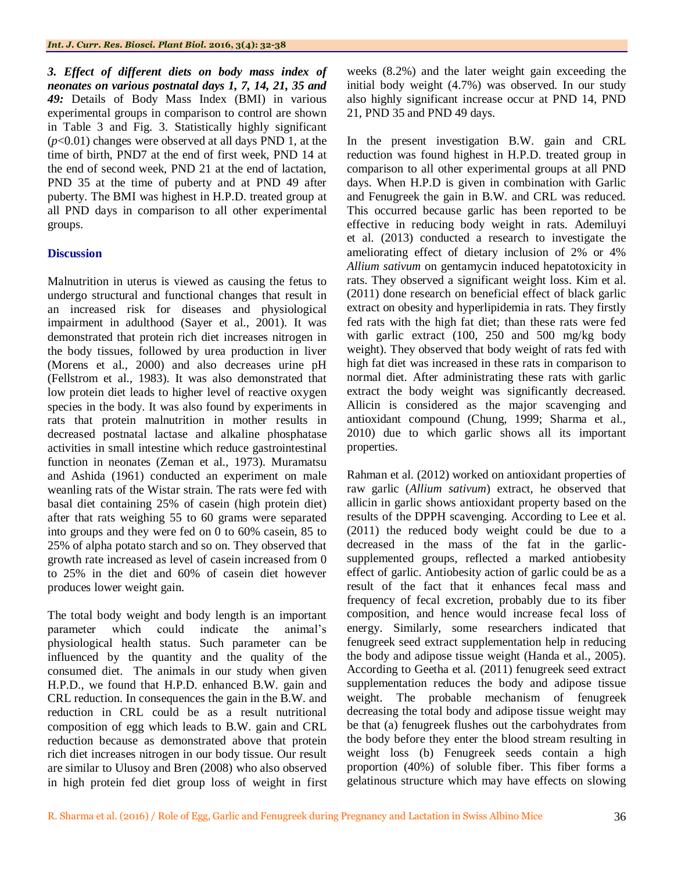*3. Effect of different diets on body mass index of neonates on various postnatal days 1, 7, 14, 21, 35 and 49:* Details of Body Mass Index (BMI) in various experimental groups in comparison to control are shown in Table 3 and Fig. 3. Statistically highly significant (*p*<0.01) changes were observed at all days PND 1, at the time of birth, PND7 at the end of first week, PND 14 at the end of second week, PND 21 at the end of lactation, PND 35 at the time of puberty and at PND 49 after puberty. The BMI was highest in H.P.D. treated group at all PND days in comparison to all other experimental groups.

#### **Discussion**

Malnutrition in uterus is viewed as causing the fetus to undergo structural and functional changes that result in an increased risk for diseases and physiological impairment in adulthood (Sayer et al., 2001). It was demonstrated that protein rich diet increases nitrogen in the body tissues, followed by urea production in liver (Morens et al., 2000) and also decreases urine pH (Fellstrom et al., 1983). It was also demonstrated that low protein diet leads to higher level of reactive oxygen species in the body. It was also found by experiments in rats that protein malnutrition in mother results in decreased postnatal lactase and alkaline phosphatase activities in small intestine which reduce gastrointestinal function in neonates (Zeman et al., 1973). Muramatsu and Ashida (1961) conducted an experiment on male weanling rats of the Wistar strain. The rats were fed with basal diet containing 25% of casein (high protein diet) after that rats weighing 55 to 60 grams were separated into groups and they were fed on 0 to 60% casein, 85 to 25% of alpha potato starch and so on. They observed that growth rate increased as level of casein increased from 0 to 25% in the diet and 60% of casein diet however produces lower weight gain.

The total body weight and body length is an important parameter which could indicate the animal's physiological health status. Such parameter can be influenced by the quantity and the quality of the consumed diet. The animals in our study when given H.P.D., we found that H.P.D. enhanced B.W. gain and CRL reduction. In consequences the gain in the B.W. and reduction in CRL could be as a result nutritional composition of egg which leads to B.W. gain and CRL reduction because as demonstrated above that protein rich diet increases nitrogen in our body tissue. Our result are similar to Ulusoy and Bren (2008) who also observed in high protein fed diet group loss of weight in first weeks (8.2%) and the later weight gain exceeding the initial body weight (4.7%) was observed. In our study also highly significant increase occur at PND 14, PND 21, PND 35 and PND 49 days.

In the present investigation B.W. gain and CRL reduction was found highest in H.P.D. treated group in comparison to all other experimental groups at all PND days. When H.P.D is given in combination with Garlic and Fenugreek the gain in B.W. and CRL was reduced. This occurred because garlic has been reported to be effective in reducing body weight in rats. Ademiluyi et al. (2013) conducted a research to investigate the ameliorating effect of dietary inclusion of 2% or 4% *Allium sativum* on gentamycin induced hepatotoxicity in rats. They observed a significant weight loss. Kim et al. (2011) done research on beneficial effect of black garlic extract on obesity and hyperlipidemia in rats. They firstly fed rats with the high fat diet; than these rats were fed with garlic extract (100, 250 and 500 mg/kg body weight). They observed that body weight of rats fed with high fat diet was increased in these rats in comparison to normal diet. After administrating these rats with garlic extract the body weight was significantly decreased. Allicin is considered as the major scavenging and antioxidant compound (Chung, 1999; Sharma et al., 2010) due to which garlic shows all its important properties.

Rahman et al. (2012) worked on antioxidant properties of raw garlic (*Allium sativum*) extract, he observed that allicin in garlic shows antioxidant property based on the results of the DPPH scavenging. According to Lee et al. (2011) the reduced body weight could be due to a decreased in the mass of the fat in the garlicsupplemented groups, reflected a marked antiobesity effect of garlic. Antiobesity action of garlic could be as a result of the fact that it enhances fecal mass and frequency of fecal excretion, probably due to its fiber composition, and hence would increase fecal loss of energy. Similarly, some researchers indicated that fenugreek seed extract supplementation help in reducing the body and adipose tissue weight (Handa et al., 2005). According to Geetha et al. (2011) fenugreek seed extract supplementation reduces the body and adipose tissue weight. The probable mechanism of fenugreek decreasing the total body and adipose tissue weight may be that (a) fenugreek flushes out the carbohydrates from the body before they enter the blood stream resulting in weight loss (b) Fenugreek seeds contain a high proportion (40%) of soluble fiber. This fiber forms a gelatinous structure which may have effects on slowing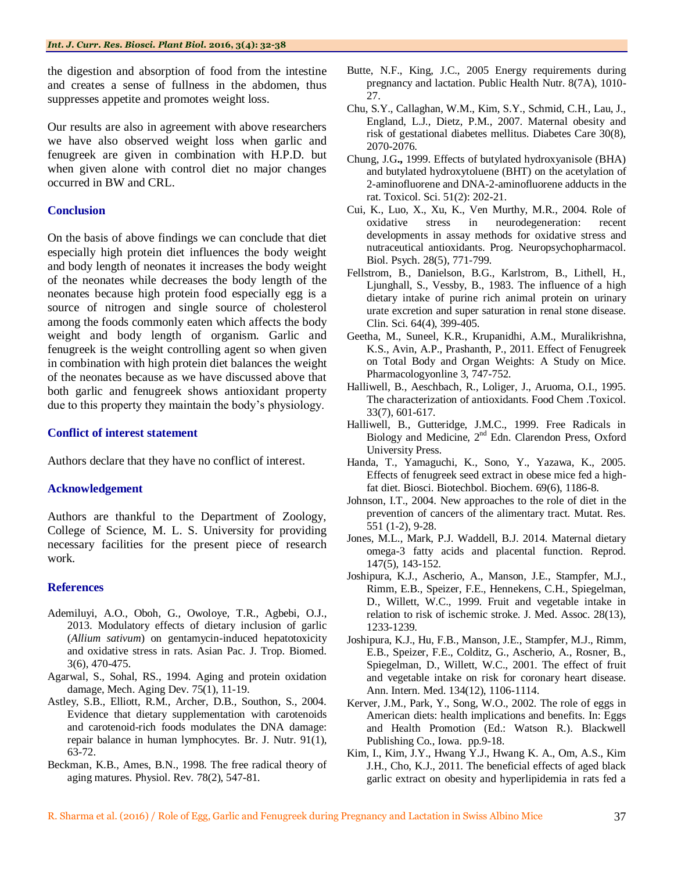the digestion and absorption of food from the intestine and creates a sense of fullness in the abdomen, thus suppresses appetite and promotes weight loss.

Our results are also in agreement with above researchers we have also observed weight loss when garlic and fenugreek are given in combination with H.P.D. but when given alone with control diet no major changes occurred in BW and CRL.

#### **Conclusion**

On the basis of above findings we can conclude that diet especially high protein diet influences the body weight and body length of neonates it increases the body weight of the neonates while decreases the body length of the neonates because high protein food especially egg is a source of nitrogen and single source of cholesterol among the foods commonly eaten which affects the body weight and body length of organism. Garlic and fenugreek is the weight controlling agent so when given in combination with high protein diet balances the weight of the neonates because as we have discussed above that both garlic and fenugreek shows antioxidant property due to this property they maintain the body's physiology.

#### **Conflict of interest statement**

Authors declare that they have no conflict of interest.

#### **Acknowledgement**

Authors are thankful to the Department of Zoology, College of Science, M. L. S. University for providing necessary facilities for the present piece of research work.

#### **References**

- Ademiluyi, A.O., Oboh, G., Owoloye, T.R., Agbebi, O.J., 2013. Modulatory effects of dietary inclusion of garlic (*Allium sativum*) on gentamycin-induced hepatotoxicity and oxidative stress in rats. Asian Pac. J. Trop. Biomed. 3(6), 470-475.
- Agarwal, S., Sohal, RS., 1994. Aging and protein oxidation damage, Mech. Aging Dev. 75(1), 11-19.
- Astley, S.B., Elliott, R.M., Archer, D.B., Southon, S., 2004. Evidence that dietary supplementation with carotenoids and carotenoid-rich foods modulates the DNA damage: repair balance in human lymphocytes. Br. J. Nutr. 91(1), 63-72.
- Beckman, K.B., Ames, B.N., 1998. The free radical theory of aging matures. Physiol. Rev. 78(2), 547-81.
- Butte, N.F., King, J.C., 2005 Energy requirements during pregnancy and lactation. Public Health Nutr. 8(7A), 1010- 27.
- Chu, S.Y., Callaghan, W.M., Kim, S.Y., Schmid, C.H., Lau, J., England, L.J., Dietz, P.M., 2007. Maternal obesity and risk of gestational diabetes mellitus. Diabetes Care 30(8), 2070-2076.
- Chung, J.G**.,** 1999. Effects of butylated hydroxyanisole (BHA) and butylated hydroxytoluene (BHT) on the acetylation of 2-aminofluorene and DNA-2-aminofluorene adducts in the rat. Toxicol. Sci. 51(2): 202-21.
- Cui, K., Luo, X., Xu, K., Ven Murthy, M.R., 2004. Role of oxidative stress in neurodegeneration: recent developments in assay methods for oxidative stress and nutraceutical antioxidants. Prog. Neuropsychopharmacol. Biol. Psych. 28(5), 771-799.
- Fellstrom, B., Danielson, B.G., Karlstrom, B., Lithell, H., Ljunghall, S., Vessby, B., 1983. The influence of a high dietary intake of purine rich animal protein on urinary urate excretion and super saturation in renal stone disease. Clin. Sci. 64(4), 399-405.
- Geetha, M., Suneel, K.R., Krupanidhi, A.M., Muralikrishna, K.S., Avin, A.P., Prashanth, P., 2011. Effect of Fenugreek on Total Body and Organ Weights: A Study on Mice. Pharmacologyonline 3, 747-752.
- Halliwell, B., Aeschbach, R., Loliger, J., Aruoma, O.I., 1995. The characterization of antioxidants. Food Chem .Toxicol. 33(7), 601-617.
- Halliwell, B., Gutteridge, J.M.C., 1999. Free Radicals in Biology and Medicine, 2<sup>nd</sup> Edn. Clarendon Press, Oxford University Press.
- Handa, T., Yamaguchi, K., Sono, Y., Yazawa, K., 2005. Effects of fenugreek seed extract in obese mice fed a highfat diet. Biosci. Biotechbol. Biochem. 69(6), 1186-8.
- Johnson, I.T., 2004. New approaches to the role of diet in the prevention of cancers of the alimentary tract. Mutat. Res. 551 (1-2), 9-28.
- Jones, M.L., Mark, P.J. Waddell, B.J. 2014. Maternal dietary omega-3 fatty acids and placental function. Reprod. 147(5), 143-152.
- Joshipura, K.J., Ascherio, A., Manson, J.E., Stampfer, M.J., Rimm, E.B., Speizer, F.E., Hennekens, C.H., Spiegelman, D., Willett, W.C., 1999. Fruit and vegetable intake in relation to risk of ischemic stroke. J. Med. Assoc. 28(13), 1233-1239.
- Joshipura, K.J., Hu, F.B., Manson, J.E., Stampfer, M.J., Rimm, E.B., Speizer, F.E., Colditz, G., Ascherio, A., Rosner, B., Spiegelman, D., Willett, W.C., 2001. The effect of fruit and vegetable intake on risk for coronary heart disease. Ann. Intern. Med. 134(12), 1106-1114.
- Kerver, J.M., Park, Y., Song, W.O., 2002. The role of eggs in American diets: health implications and benefits. In: Eggs and Health Promotion (Ed.: Watson R.). Blackwell Publishing Co., Iowa. pp.9-18.
- Kim, I., Kim, J.Y., Hwang Y.J., Hwang K. A., Om, A.S., Kim J.H., Cho, K.J., 2011. The beneficial effects of aged black garlic extract on obesity and hyperlipidemia in rats fed a